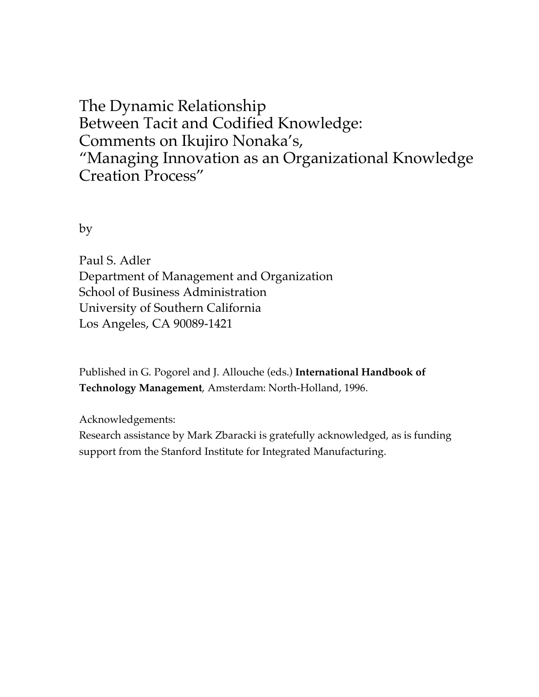The Dynamic Relationship Between Tacit and Codified Knowledge: Comments on Ikujiro Nonaka's, "Managing Innovation as an Organizational Knowledge Creation Process"

by

Paul S. Adler Department of Management and Organization School of Business Administration University of Southern California Los Angeles, CA 90089-1421

Published in G. Pogorel and J. Allouche (eds.) **International Handbook of Technology Management**, Amsterdam: North-Holland, 1996.

Acknowledgements: Research assistance by Mark Zbaracki is gratefully acknowledged, as is funding support from the Stanford Institute for Integrated Manufacturing.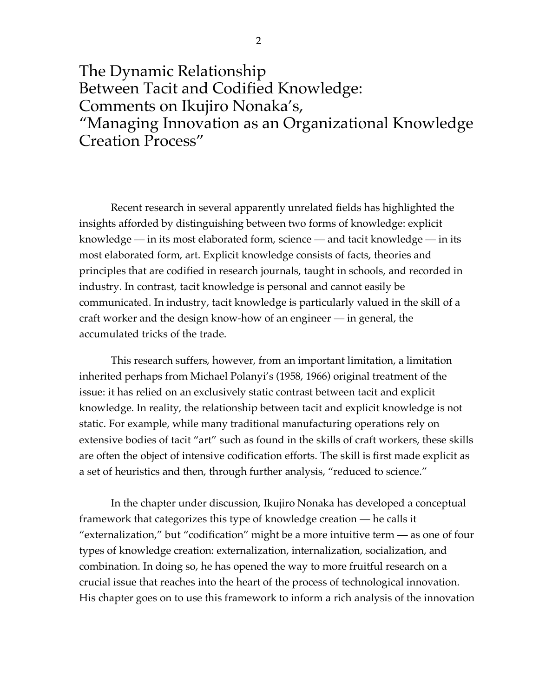The Dynamic Relationship Between Tacit and Codified Knowledge: Comments on Ikujiro Nonaka's, "Managing Innovation as an Organizational Knowledge Creation Process"

Recent research in several apparently unrelated fields has highlighted the insights afforded by distinguishing between two forms of knowledge: explicit knowledge — in its most elaborated form, science — and tacit knowledge — in its most elaborated form, art. Explicit knowledge consists of facts, theories and principles that are codified in research journals, taught in schools, and recorded in industry. In contrast, tacit knowledge is personal and cannot easily be communicated. In industry, tacit knowledge is particularly valued in the skill of a craft worker and the design know-how of an engineer — in general, the accumulated tricks of the trade.

This research suffers, however, from an important limitation, a limitation inherited perhaps from Michael Polanyi's (1958, 1966) original treatment of the issue: it has relied on an exclusively static contrast between tacit and explicit knowledge. In reality, the relationship between tacit and explicit knowledge is not static. For example, while many traditional manufacturing operations rely on extensive bodies of tacit "art" such as found in the skills of craft workers, these skills are often the object of intensive codification efforts. The skill is first made explicit as a set of heuristics and then, through further analysis, "reduced to science."

In the chapter under discussion, Ikujiro Nonaka has developed a conceptual framework that categorizes this type of knowledge creation — he calls it "externalization," but "codification" might be a more intuitive term — as one of four types of knowledge creation: externalization, internalization, socialization, and combination. In doing so, he has opened the way to more fruitful research on a crucial issue that reaches into the heart of the process of technological innovation. His chapter goes on to use this framework to inform a rich analysis of the innovation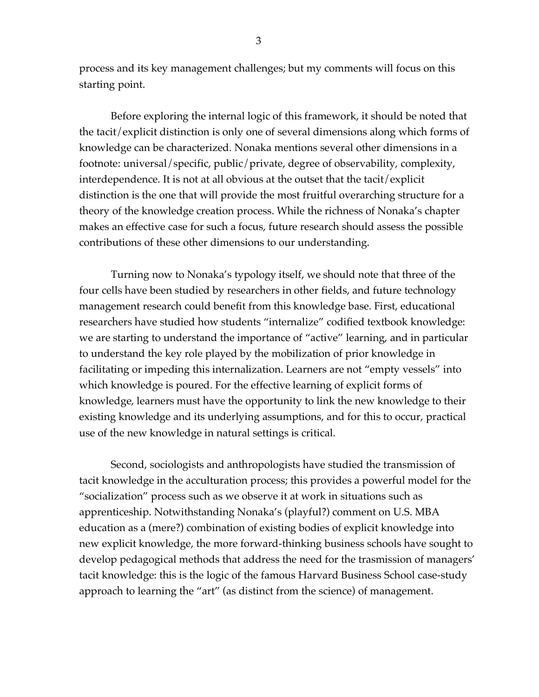process and its key management challenges; but my comments will focus on this starting point.

Before exploring the internal logic of this framework, it should be noted that the tacit/explicit distinction is only one of several dimensions along which forms of knowledge can be characterized. Nonaka mentions several other dimensions in a footnote: universal/specific, public/private, degree of observability, complexity, interdependence. It is not at all obvious at the outset that the tacit/explicit distinction is the one that will provide the most fruitful overarching structure for a theory of the knowledge creation process. While the richness of Nonaka's chapter makes an effective case for such a focus, future research should assess the possible contributions of these other dimensions to our understanding.

Turning now to Nonaka's typology itself, we should note that three of the four cells have been studied by researchers in other fields, and future technology management research could benefit from this knowledge base. First, educational researchers have studied how students "internalize" codified textbook knowledge: we are starting to understand the importance of "active" learning, and in particular to understand the key role played by the mobilization of prior knowledge in facilitating or impeding this internalization. Learners are not "empty vessels" into which knowledge is poured. For the effective learning of explicit forms of knowledge, learners must have the opportunity to link the new knowledge to their existing knowledge and its underlying assumptions, and for this to occur, practical use of the new knowledge in natural settings is critical.

Second, sociologists and anthropologists have studied the transmission of tacit knowledge in the acculturation process; this provides a powerful model for the "socialization" process such as we observe it at work in situations such as apprenticeship. Notwithstanding Nonaka's (playful?) comment on U.S. MBA education as a (mere?) combination of existing bodies of explicit knowledge into new explicit knowledge, the more forward-thinking business schools have sought to develop pedagogical methods that address the need for the trasmission of managers' tacit knowledge: this is the logic of the famous Harvard Business School case-study approach to learning the "art" (as distinct from the science) of management.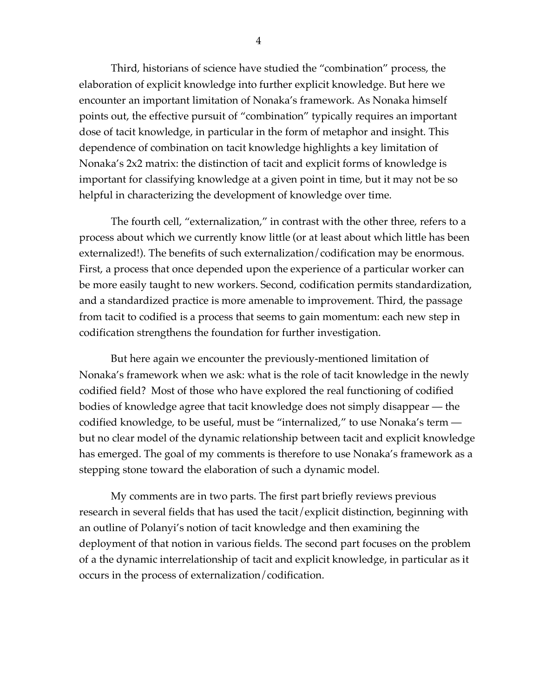Third, historians of science have studied the "combination" process, the elaboration of explicit knowledge into further explicit knowledge. But here we encounter an important limitation of Nonaka's framework. As Nonaka himself points out, the effective pursuit of "combination" typically requires an important dose of tacit knowledge, in particular in the form of metaphor and insight. This dependence of combination on tacit knowledge highlights a key limitation of Nonaka's 2x2 matrix: the distinction of tacit and explicit forms of knowledge is important for classifying knowledge at a given point in time, but it may not be so helpful in characterizing the development of knowledge over time.

The fourth cell, "externalization," in contrast with the other three, refers to a process about which we currently know little (or at least about which little has been externalized!). The benefits of such externalization/codification may be enormous. First, a process that once depended upon the experience of a particular worker can be more easily taught to new workers. Second, codification permits standardization, and a standardized practice is more amenable to improvement. Third, the passage from tacit to codified is a process that seems to gain momentum: each new step in codification strengthens the foundation for further investigation.

But here again we encounter the previously-mentioned limitation of Nonaka's framework when we ask: what is the role of tacit knowledge in the newly codified field? Most of those who have explored the real functioning of codified bodies of knowledge agree that tacit knowledge does not simply disappear — the codified knowledge, to be useful, must be "internalized," to use Nonaka's term but no clear model of the dynamic relationship between tacit and explicit knowledge has emerged. The goal of my comments is therefore to use Nonaka's framework as a stepping stone toward the elaboration of such a dynamic model.

My comments are in two parts. The first part briefly reviews previous research in several fields that has used the tacit/explicit distinction, beginning with an outline of Polanyi's notion of tacit knowledge and then examining the deployment of that notion in various fields. The second part focuses on the problem of a the dynamic interrelationship of tacit and explicit knowledge, in particular as it occurs in the process of externalization/codification.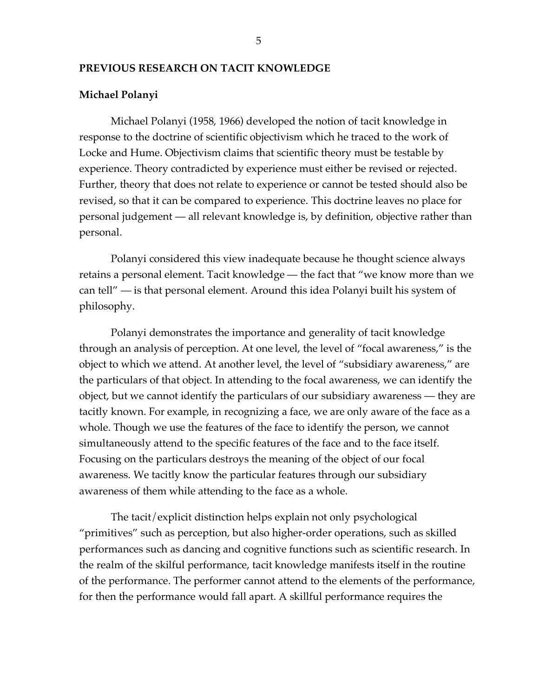### **PREVIOUS RESEARCH ON TACIT KNOWLEDGE**

### **Michael Polanyi**

Michael Polanyi (1958, 1966) developed the notion of tacit knowledge in response to the doctrine of scientific objectivism which he traced to the work of Locke and Hume. Objectivism claims that scientific theory must be testable by experience. Theory contradicted by experience must either be revised or rejected. Further, theory that does not relate to experience or cannot be tested should also be revised, so that it can be compared to experience. This doctrine leaves no place for personal judgement — all relevant knowledge is, by definition, objective rather than personal.

Polanyi considered this view inadequate because he thought science always retains a personal element. Tacit knowledge — the fact that "we know more than we can tell" — is that personal element. Around this idea Polanyi built his system of philosophy.

Polanyi demonstrates the importance and generality of tacit knowledge through an analysis of perception. At one level, the level of "focal awareness," is the object to which we attend. At another level, the level of "subsidiary awareness," are the particulars of that object. In attending to the focal awareness, we can identify the object, but we cannot identify the particulars of our subsidiary awareness — they are tacitly known. For example, in recognizing a face, we are only aware of the face as a whole. Though we use the features of the face to identify the person, we cannot simultaneously attend to the specific features of the face and to the face itself. Focusing on the particulars destroys the meaning of the object of our focal awareness. We tacitly know the particular features through our subsidiary awareness of them while attending to the face as a whole.

The tacit/explicit distinction helps explain not only psychological "primitives" such as perception, but also higher-order operations, such as skilled performances such as dancing and cognitive functions such as scientific research. In the realm of the skilful performance, tacit knowledge manifests itself in the routine of the performance. The performer cannot attend to the elements of the performance, for then the performance would fall apart. A skillful performance requires the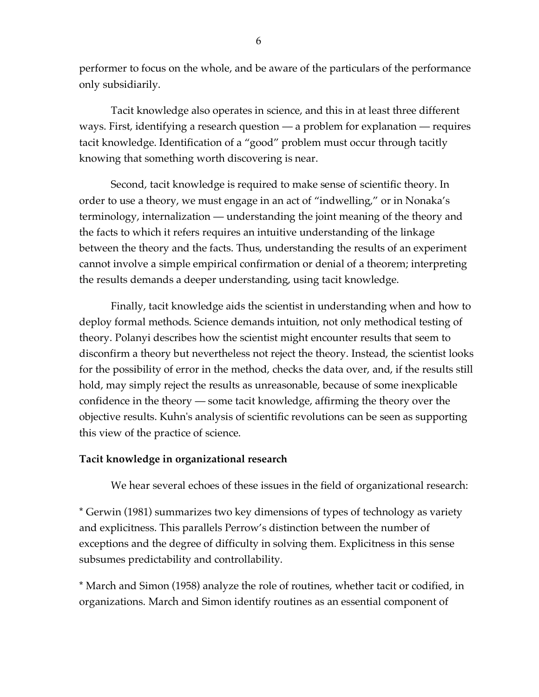performer to focus on the whole, and be aware of the particulars of the performance only subsidiarily.

Tacit knowledge also operates in science, and this in at least three different ways. First, identifying a research question — a problem for explanation — requires tacit knowledge. Identification of a "good" problem must occur through tacitly knowing that something worth discovering is near.

Second, tacit knowledge is required to make sense of scientific theory. In order to use a theory, we must engage in an act of "indwelling," or in Nonaka's terminology, internalization — understanding the joint meaning of the theory and the facts to which it refers requires an intuitive understanding of the linkage between the theory and the facts. Thus, understanding the results of an experiment cannot involve a simple empirical confirmation or denial of a theorem; interpreting the results demands a deeper understanding, using tacit knowledge.

Finally, tacit knowledge aids the scientist in understanding when and how to deploy formal methods. Science demands intuition, not only methodical testing of theory. Polanyi describes how the scientist might encounter results that seem to disconfirm a theory but nevertheless not reject the theory. Instead, the scientist looks for the possibility of error in the method, checks the data over, and, if the results still hold, may simply reject the results as unreasonable, because of some inexplicable confidence in the theory — some tacit knowledge, affirming the theory over the objective results. Kuhn's analysis of scientific revolutions can be seen as supporting this view of the practice of science.

# **Tacit knowledge in organizational research**

We hear several echoes of these issues in the field of organizational research:

\* Gerwin (1981) summarizes two key dimensions of types of technology as variety and explicitness. This parallels Perrow's distinction between the number of exceptions and the degree of difficulty in solving them. Explicitness in this sense subsumes predictability and controllability.

\* March and Simon (1958) analyze the role of routines, whether tacit or codified, in organizations. March and Simon identify routines as an essential component of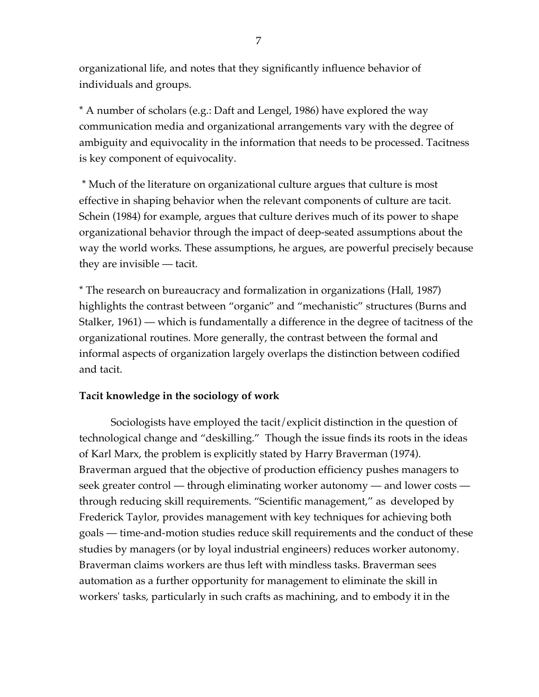organizational life, and notes that they significantly influence behavior of individuals and groups.

\* A number of scholars (e.g.: Daft and Lengel, 1986) have explored the way communication media and organizational arrangements vary with the degree of ambiguity and equivocality in the information that needs to be processed. Tacitness is key component of equivocality.

\* Much of the literature on organizational culture argues that culture is most effective in shaping behavior when the relevant components of culture are tacit. Schein (1984) for example, argues that culture derives much of its power to shape organizational behavior through the impact of deep-seated assumptions about the way the world works. These assumptions, he argues, are powerful precisely because they are invisible — tacit.

\* The research on bureaucracy and formalization in organizations (Hall, 1987) highlights the contrast between "organic" and "mechanistic" structures (Burns and Stalker, 1961) — which is fundamentally a difference in the degree of tacitness of the organizational routines. More generally, the contrast between the formal and informal aspects of organization largely overlaps the distinction between codified and tacit.

# **Tacit knowledge in the sociology of work**

Sociologists have employed the tacit/explicit distinction in the question of technological change and "deskilling." Though the issue finds its roots in the ideas of Karl Marx, the problem is explicitly stated by Harry Braverman (1974). Braverman argued that the objective of production efficiency pushes managers to seek greater control — through eliminating worker autonomy — and lower costs through reducing skill requirements. "Scientific management," as developed by Frederick Taylor, provides management with key techniques for achieving both goals — time-and-motion studies reduce skill requirements and the conduct of these studies by managers (or by loyal industrial engineers) reduces worker autonomy. Braverman claims workers are thus left with mindless tasks. Braverman sees automation as a further opportunity for management to eliminate the skill in workers' tasks, particularly in such crafts as machining, and to embody it in the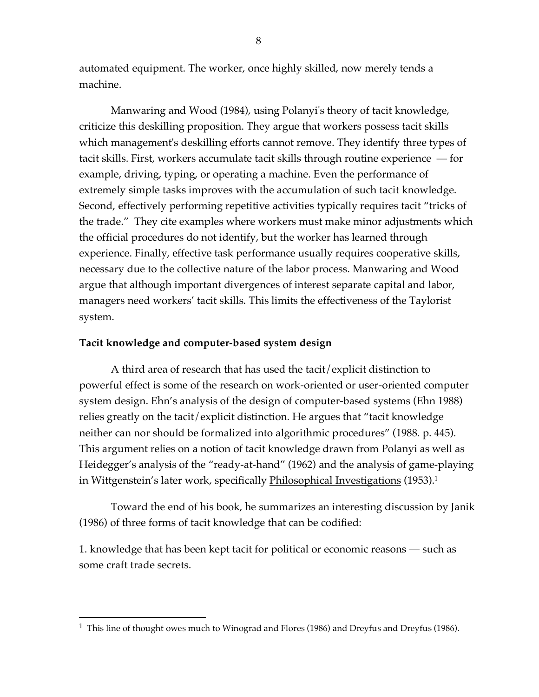automated equipment. The worker, once highly skilled, now merely tends a machine.

Manwaring and Wood (1984), using Polanyi's theory of tacit knowledge, criticize this deskilling proposition. They argue that workers possess tacit skills which management's deskilling efforts cannot remove. They identify three types of tacit skills. First, workers accumulate tacit skills through routine experience — for example, driving, typing, or operating a machine. Even the performance of extremely simple tasks improves with the accumulation of such tacit knowledge. Second, effectively performing repetitive activities typically requires tacit "tricks of the trade." They cite examples where workers must make minor adjustments which the official procedures do not identify, but the worker has learned through experience. Finally, effective task performance usually requires cooperative skills, necessary due to the collective nature of the labor process. Manwaring and Wood argue that although important divergences of interest separate capital and labor, managers need workers' tacit skills. This limits the effectiveness of the Taylorist system.

## **Tacit knowledge and computer-based system design**

A third area of research that has used the tacit/explicit distinction to powerful effect is some of the research on work-oriented or user-oriented computer system design. Ehn's analysis of the design of computer-based systems (Ehn 1988) relies greatly on the tacit/explicit distinction. He argues that "tacit knowledge neither can nor should be formalized into algorithmic procedures" (1988. p. 445). This argument relies on a notion of tacit knowledge drawn from Polanyi as well as Heidegger's analysis of the "ready-at-hand" (1962) and the analysis of game-playing in Wittgenstein's later work*,* specifically <u>Philosophical Investigations</u> (1953).<sup>1</sup>

Toward the end of his book, he summarizes an interesting discussion by Janik (1986) of three forms of tacit knowledge that can be codified:

1. knowledge that has been kept tacit for political or economic reasons — such as some craft trade secrets.

<sup>&</sup>lt;sup>1</sup> This line of thought owes much to Winograd and Flores (1986) and Dreyfus and Dreyfus (1986).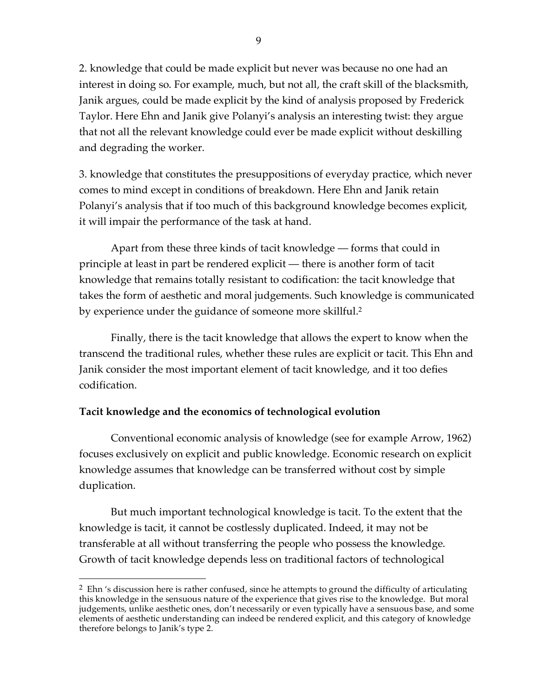2. knowledge that could be made explicit but never was because no one had an interest in doing so. For example, much, but not all, the craft skill of the blacksmith, Janik argues, could be made explicit by the kind of analysis proposed by Frederick Taylor. Here Ehn and Janik give Polanyi's analysis an interesting twist: they argue that not all the relevant knowledge could ever be made explicit without deskilling and degrading the worker.

3. knowledge that constitutes the presuppositions of everyday practice, which never comes to mind except in conditions of breakdown. Here Ehn and Janik retain Polanyi's analysis that if too much of this background knowledge becomes explicit, it will impair the performance of the task at hand.

Apart from these three kinds of tacit knowledge — forms that could in principle at least in part be rendered explicit — there is another form of tacit knowledge that remains totally resistant to codification: the tacit knowledge that takes the form of aesthetic and moral judgements. Such knowledge is communicated by experience under the guidance of someone more skillful. 2

Finally, there is the tacit knowledge that allows the expert to know when the transcend the traditional rules, whether these rules are explicit or tacit. This Ehn and Janik consider the most important element of tacit knowledge, and it too defies codification.

# **Tacit knowledge and the economics of technological evolution**

Conventional economic analysis of knowledge (see for example Arrow, 1962) focuses exclusively on explicit and public knowledge. Economic research on explicit knowledge assumes that knowledge can be transferred without cost by simple duplication.

But much important technological knowledge is tacit. To the extent that the knowledge is tacit, it cannot be costlessly duplicated. Indeed, it may not be transferable at all without transferring the people who possess the knowledge. Growth of tacit knowledge depends less on traditional factors of technological

 $\frac{2}{5}$  Ehn 's discussion here is rather confused, since he attempts to ground the difficulty of articulating this knowledge in the sensuous nature of the experience that gives rise to the knowledge. But moral judgements, unlike aesthetic ones, don't necessarily or even typically have a sensuous base, and some elements of aesthetic understanding can indeed be rendered explicit, and this category of knowledge therefore belongs to Janik's type 2.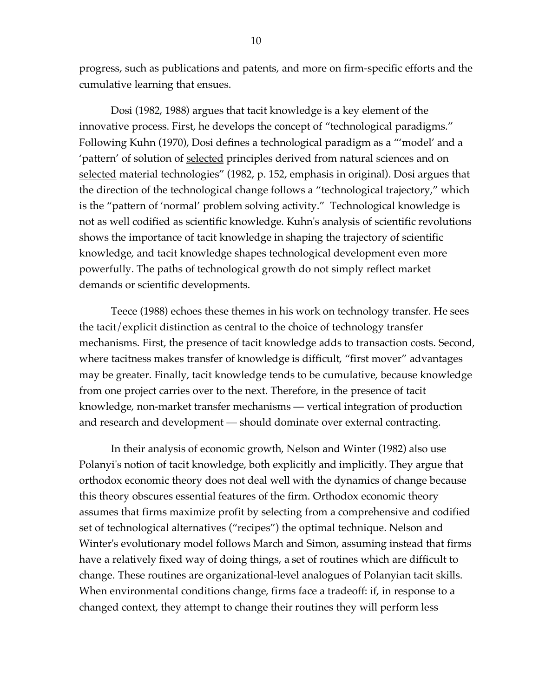progress, such as publications and patents, and more on firm-specific efforts and the cumulative learning that ensues.

Dosi (1982, 1988) argues that tacit knowledge is a key element of the innovative process. First, he develops the concept of "technological paradigms." Following Kuhn (1970), Dosi defines a technological paradigm as a "'model' and a 'pattern' of solution of selected principles derived from natural sciences and on selected material technologies" (1982, p. 152, emphasis in original). Dosi argues that the direction of the technological change follows a "technological trajectory," which is the "pattern of 'normal' problem solving activity." Technological knowledge is not as well codified as scientific knowledge. Kuhn's analysis of scientific revolutions shows the importance of tacit knowledge in shaping the trajectory of scientific knowledge, and tacit knowledge shapes technological development even more powerfully. The paths of technological growth do not simply reflect market demands or scientific developments.

Teece (1988) echoes these themes in his work on technology transfer. He sees the tacit/explicit distinction as central to the choice of technology transfer mechanisms. First, the presence of tacit knowledge adds to transaction costs. Second, where tacitness makes transfer of knowledge is difficult, "first mover" advantages may be greater. Finally, tacit knowledge tends to be cumulative, because knowledge from one project carries over to the next. Therefore, in the presence of tacit knowledge, non-market transfer mechanisms — vertical integration of production and research and development — should dominate over external contracting.

In their analysis of economic growth, Nelson and Winter (1982) also use Polanyi's notion of tacit knowledge, both explicitly and implicitly. They argue that orthodox economic theory does not deal well with the dynamics of change because this theory obscures essential features of the firm. Orthodox economic theory assumes that firms maximize profit by selecting from a comprehensive and codified set of technological alternatives ("recipes") the optimal technique. Nelson and Winter's evolutionary model follows March and Simon, assuming instead that firms have a relatively fixed way of doing things, a set of routines which are difficult to change. These routines are organizational-level analogues of Polanyian tacit skills. When environmental conditions change, firms face a tradeoff: if, in response to a changed context, they attempt to change their routines they will perform less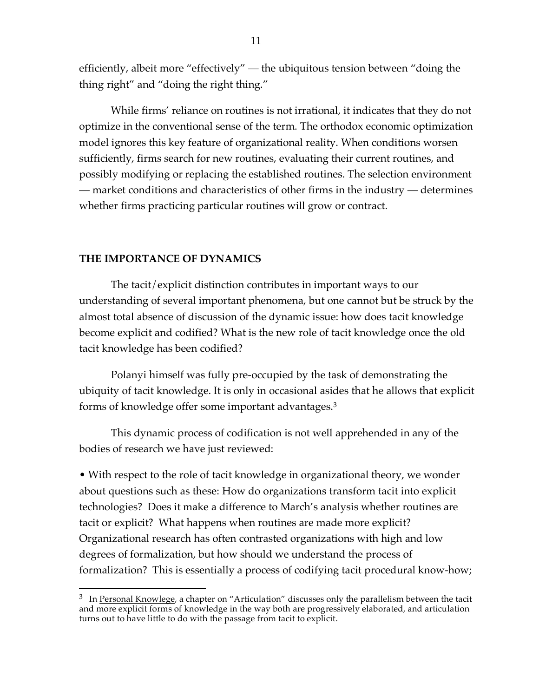efficiently, albeit more "effectively" — the ubiquitous tension between "doing the thing right" and "doing the right thing."

While firms' reliance on routines is not irrational, it indicates that they do not optimize in the conventional sense of the term. The orthodox economic optimization model ignores this key feature of organizational reality. When conditions worsen sufficiently, firms search for new routines, evaluating their current routines, and possibly modifying or replacing the established routines. The selection environment — market conditions and characteristics of other firms in the industry — determines whether firms practicing particular routines will grow or contract.

## **THE IMPORTANCE OF DYNAMICS**

The tacit/explicit distinction contributes in important ways to our understanding of several important phenomena, but one cannot but be struck by the almost total absence of discussion of the dynamic issue: how does tacit knowledge become explicit and codified? What is the new role of tacit knowledge once the old tacit knowledge has been codified?

Polanyi himself was fully pre-occupied by the task of demonstrating the ubiquity of tacit knowledge. It is only in occasional asides that he allows that explicit forms of knowledge offer some important advantages.3

This dynamic process of codification is not well apprehended in any of the bodies of research we have just reviewed:

• With respect to the role of tacit knowledge in organizational theory, we wonder about questions such as these: How do organizations transform tacit into explicit technologies? Does it make a difference to March's analysis whether routines are tacit or explicit? What happens when routines are made more explicit? Organizational research has often contrasted organizations with high and low degrees of formalization, but how should we understand the process of formalization? This is essentially a process of codifying tacit procedural know-how;

 $\frac{3}{3}$  In <u>Personal Knowlege</u>, a chapter on "Articulation" discusses only the parallelism between the tacit and more explicit forms of knowledge in the way both are progressively elaborated, and articulation turns out to have little to do with the passage from tacit to explicit.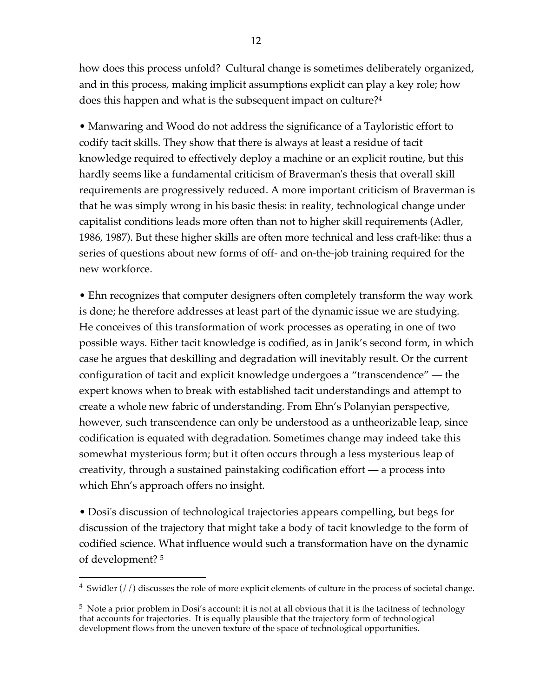how does this process unfold? Cultural change is sometimes deliberately organized, and in this process, making implicit assumptions explicit can play a key role; how does this happen and what is the subsequent impact on culture?4

• Manwaring and Wood do not address the significance of a Tayloristic effort to codify tacit skills. They show that there is always at least a residue of tacit knowledge required to effectively deploy a machine or an explicit routine, but this hardly seems like a fundamental criticism of Braverman's thesis that overall skill requirements are progressively reduced. A more important criticism of Braverman is that he was simply wrong in his basic thesis: in reality, technological change under capitalist conditions leads more often than not to higher skill requirements (Adler, 1986, 1987). But these higher skills are often more technical and less craft-like: thus a series of questions about new forms of off- and on-the-job training required for the new workforce.

• Ehn recognizes that computer designers often completely transform the way work is done; he therefore addresses at least part of the dynamic issue we are studying. He conceives of this transformation of work processes as operating in one of two possible ways. Either tacit knowledge is codified, as in Janik's second form, in which case he argues that deskilling and degradation will inevitably result. Or the current configuration of tacit and explicit knowledge undergoes a "transcendence" — the expert knows when to break with established tacit understandings and attempt to create a whole new fabric of understanding. From Ehn's Polanyian perspective, however, such transcendence can only be understood as a untheorizable leap, since codification is equated with degradation. Sometimes change may indeed take this somewhat mysterious form; but it often occurs through a less mysterious leap of creativity, through a sustained painstaking codification effort — a process into which Ehn's approach offers no insight.

• Dosi's discussion of technological trajectories appears compelling, but begs for discussion of the trajectory that might take a body of tacit knowledge to the form of codified science. What influence would such a transformation have on the dynamic of development? <sup>5</sup>

 $4$  Swidler (//) discusses the role of more explicit elements of culture in the process of societal change.

<sup>5</sup> Note a prior problem in Dosi's account: it is not at all obvious that it is the tacitness of technology that accounts for trajectories. It is equally plausible that the trajectory form of technological development flows from the uneven texture of the space of technological opportunities.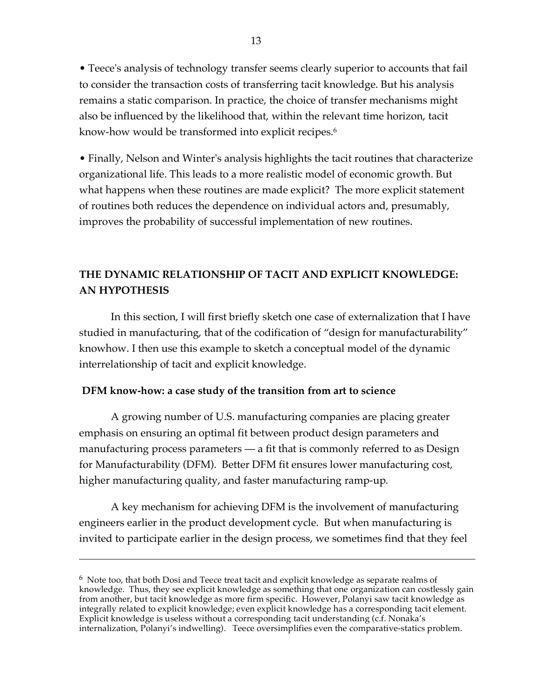• Teece's analysis of technology transfer seems clearly superior to accounts that fail to consider the transaction costs of transferring tacit knowledge. But his analysis remains a static comparison. In practice, the choice of transfer mechanisms might also be influenced by the likelihood that, within the relevant time horizon, tacit know-how would be transformed into explicit recipes. 6

• Finally, Nelson and Winter's analysis highlights the tacit routines that characterize organizational life. This leads to a more realistic model of economic growth. But what happens when these routines are made explicit? The more explicit statement of routines both reduces the dependence on individual actors and, presumably, improves the probability of successful implementation of new routines.

# **THE DYNAMIC RELATIONSHIP OF TACIT AND EXPLICIT KNOWLEDGE: AN HYPOTHESIS**

In this section, I will first briefly sketch one case of externalization that I have studied in manufacturing, that of the codification of "design for manufacturability" knowhow. I then use this example to sketch a conceptual model of the dynamic interrelationship of tacit and explicit knowledge.

## **DFM know-how: a case study of the transition from art to science**

 $\overline{a}$ 

A growing number of U.S. manufacturing companies are placing greater emphasis on ensuring an optimal fit between product design parameters and manufacturing process parameters — a fit that is commonly referred to as Design for Manufacturability (DFM). Better DFM fit ensures lower manufacturing cost, higher manufacturing quality, and faster manufacturing ramp-up.

A key mechanism for achieving DFM is the involvement of manufacturing engineers earlier in the product development cycle. But when manufacturing is invited to participate earlier in the design process, we sometimes find that they feel

 $6\sigma$  Note too, that both Dosi and Teece treat tacit and explicit knowledge as separate realms of knowledge. Thus, they see explicit knowledge as something that one organization can costlessly gain from another, but tacit knowledge as more firm specific. However, Polanyi saw tacit knowledge as integrally related to explicit knowledge; even explicit knowledge has a corresponding tacit element. Explicit knowledge is useless without a corresponding tacit understanding (c.f. Nonaka's internalization, Polanyi's indwelling). Teece oversimplifies even the comparative-statics problem.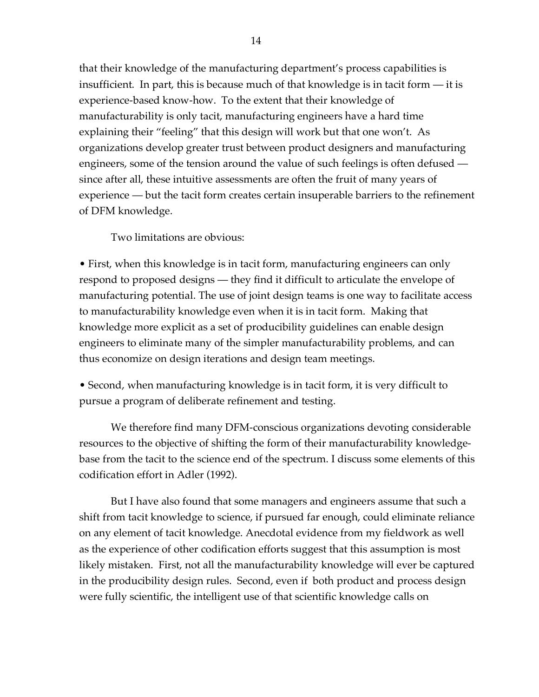that their knowledge of the manufacturing department's process capabilities is insufficient. In part, this is because much of that knowledge is in tacit form — it is experience-based know-how. To the extent that their knowledge of manufacturability is only tacit, manufacturing engineers have a hard time explaining their "feeling" that this design will work but that one won't. As organizations develop greater trust between product designers and manufacturing engineers, some of the tension around the value of such feelings is often defused since after all, these intuitive assessments are often the fruit of many years of experience — but the tacit form creates certain insuperable barriers to the refinement of DFM knowledge.

Two limitations are obvious:

• First, when this knowledge is in tacit form, manufacturing engineers can only respond to proposed designs — they find it difficult to articulate the envelope of manufacturing potential. The use of joint design teams is one way to facilitate access to manufacturability knowledge even when it is in tacit form. Making that knowledge more explicit as a set of producibility guidelines can enable design engineers to eliminate many of the simpler manufacturability problems, and can thus economize on design iterations and design team meetings.

• Second, when manufacturing knowledge is in tacit form, it is very difficult to pursue a program of deliberate refinement and testing.

We therefore find many DFM-conscious organizations devoting considerable resources to the objective of shifting the form of their manufacturability knowledgebase from the tacit to the science end of the spectrum. I discuss some elements of this codification effort in Adler (1992).

But I have also found that some managers and engineers assume that such a shift from tacit knowledge to science, if pursued far enough, could eliminate reliance on any element of tacit knowledge. Anecdotal evidence from my fieldwork as well as the experience of other codification efforts suggest that this assumption is most likely mistaken. First, not all the manufacturability knowledge will ever be captured in the producibility design rules. Second, even if both product and process design were fully scientific, the intelligent use of that scientific knowledge calls on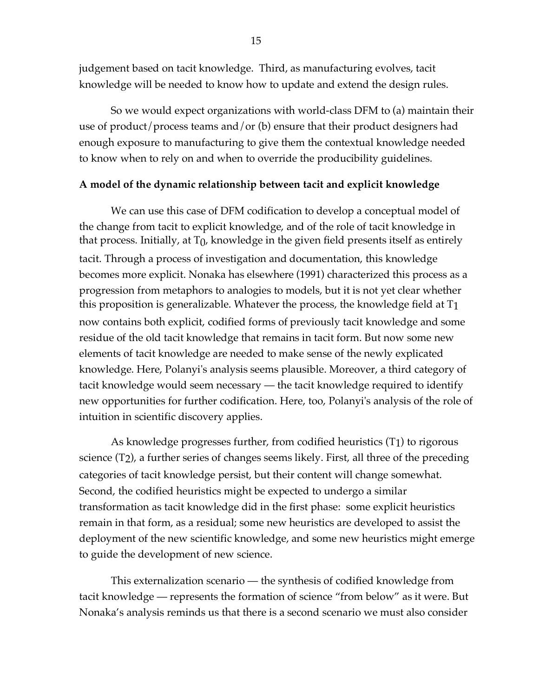judgement based on tacit knowledge. Third, as manufacturing evolves, tacit knowledge will be needed to know how to update and extend the design rules.

So we would expect organizations with world-class DFM to (a) maintain their use of product/process teams and/or (b) ensure that their product designers had enough exposure to manufacturing to give them the contextual knowledge needed to know when to rely on and when to override the producibility guidelines.

# **A model of the dynamic relationship between tacit and explicit knowledge**

We can use this case of DFM codification to develop a conceptual model of the change from tacit to explicit knowledge, and of the role of tacit knowledge in that process. Initially, at  $T_0$ , knowledge in the given field presents itself as entirely tacit. Through a process of investigation and documentation, this knowledge becomes more explicit. Nonaka has elsewhere (1991) characterized this process as a progression from metaphors to analogies to models, but it is not yet clear whether this proposition is generalizable. Whatever the process, the knowledge field at T1 now contains both explicit, codified forms of previously tacit knowledge and some residue of the old tacit knowledge that remains in tacit form. But now some new elements of tacit knowledge are needed to make sense of the newly explicated knowledge. Here, Polanyi's analysis seems plausible. Moreover, a third category of tacit knowledge would seem necessary — the tacit knowledge required to identify new opportunities for further codification. Here, too, Polanyi's analysis of the role of intuition in scientific discovery applies.

As knowledge progresses further, from codified heuristics (T1) to rigorous science (T2), a further series of changes seems likely. First, all three of the preceding categories of tacit knowledge persist, but their content will change somewhat. Second, the codified heuristics might be expected to undergo a similar transformation as tacit knowledge did in the first phase: some explicit heuristics remain in that form, as a residual; some new heuristics are developed to assist the deployment of the new scientific knowledge, and some new heuristics might emerge to guide the development of new science.

This externalization scenario — the synthesis of codified knowledge from tacit knowledge — represents the formation of science "from below" as it were. But Nonaka's analysis reminds us that there is a second scenario we must also consider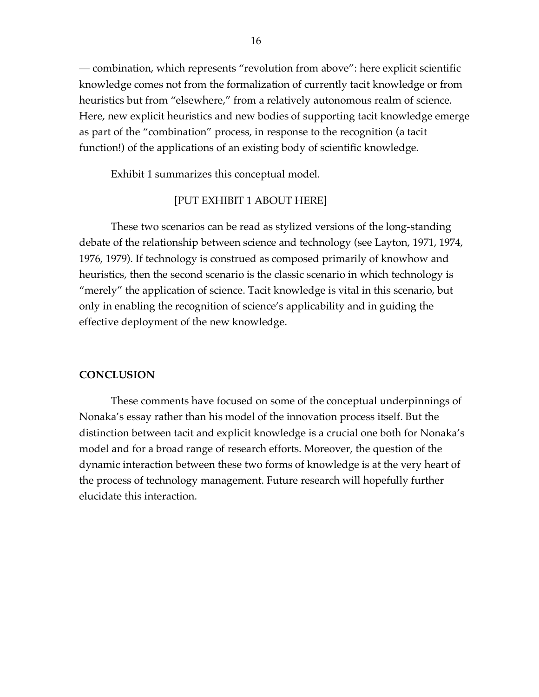— combination, which represents "revolution from above": here explicit scientific knowledge comes not from the formalization of currently tacit knowledge or from heuristics but from "elsewhere," from a relatively autonomous realm of science. Here, new explicit heuristics and new bodies of supporting tacit knowledge emerge as part of the "combination" process, in response to the recognition (a tacit function!) of the applications of an existing body of scientific knowledge.

Exhibit 1 summarizes this conceptual model.

## [PUT EXHIBIT 1 ABOUT HERE]

These two scenarios can be read as stylized versions of the long-standing debate of the relationship between science and technology (see Layton, 1971, 1974, 1976, 1979). If technology is construed as composed primarily of knowhow and heuristics, then the second scenario is the classic scenario in which technology is "merely" the application of science. Tacit knowledge is vital in this scenario, but only in enabling the recognition of science's applicability and in guiding the effective deployment of the new knowledge.

## **CONCLUSION**

These comments have focused on some of the conceptual underpinnings of Nonaka's essay rather than his model of the innovation process itself. But the distinction between tacit and explicit knowledge is a crucial one both for Nonaka's model and for a broad range of research efforts. Moreover, the question of the dynamic interaction between these two forms of knowledge is at the very heart of the process of technology management. Future research will hopefully further elucidate this interaction.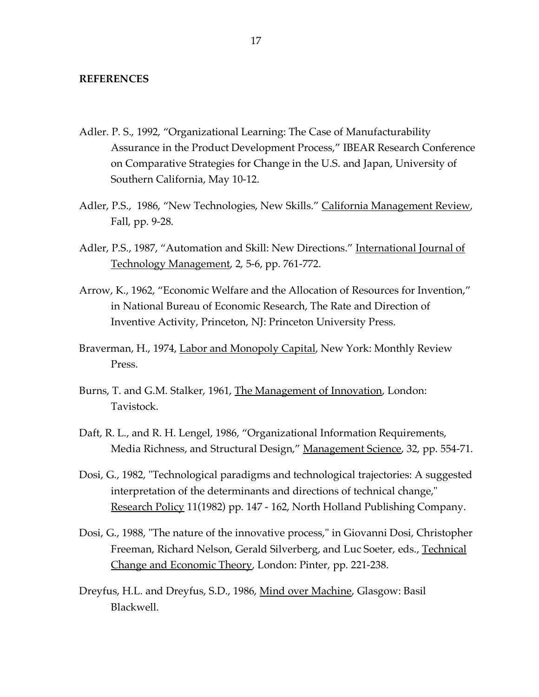### **REFERENCES**

- Adler. P. S., 1992, "Organizational Learning: The Case of Manufacturability Assurance in the Product Development Process," IBEAR Research Conference on Comparative Strategies for Change in the U.S. and Japan, University of Southern California, May 10-12.
- Adler, P.S., 1986, "New Technologies, New Skills." California Management Review, Fall, pp. 9-28.
- Adler, P.S., 1987, "Automation and Skill: New Directions." International Journal of Technology Management, 2, 5-6, pp. 761-772.
- Arrow, K., 1962, "Economic Welfare and the Allocation of Resources for Invention," in National Bureau of Economic Research, The Rate and Direction of Inventive Activity, Princeton, NJ: Princeton University Press.
- Braverman, H., 1974, Labor and Monopoly Capital, New York: Monthly Review Press.
- Burns, T. and G.M. Stalker, 1961, The Management of Innovation, London: Tavistock.
- Daft, R. L., and R. H. Lengel, 1986, "Organizational Information Requirements, Media Richness, and Structural Design," Management Science, 32, pp. 554-71.
- Dosi, G., 1982, "Technological paradigms and technological trajectories: A suggested interpretation of the determinants and directions of technical change," Research Policy 11(1982) pp. 147 - 162, North Holland Publishing Company.
- Dosi, G., 1988, "The nature of the innovative process," in Giovanni Dosi, Christopher Freeman, Richard Nelson, Gerald Silverberg, and Luc Soeter, eds., Technical Change and Economic Theory, London: Pinter, pp. 221-238.
- Dreyfus, H.L. and Dreyfus, S.D., 1986, Mind over Machine, Glasgow: Basil Blackwell.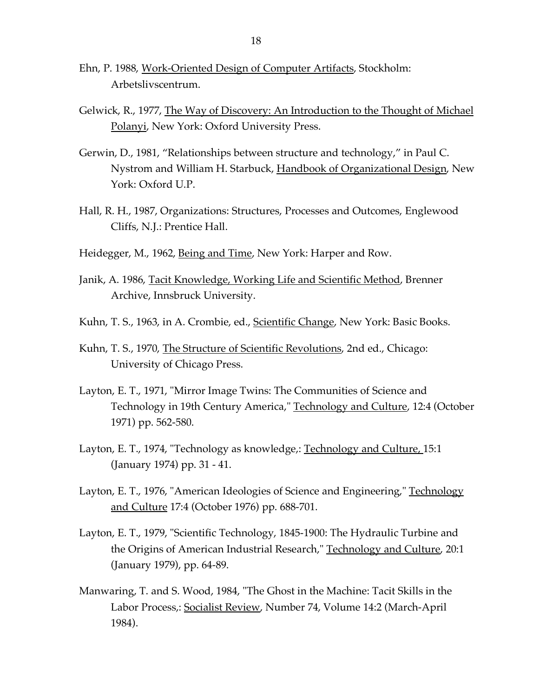- Ehn, P. 1988, Work-Oriented Design of Computer Artifacts, Stockholm: Arbetslivscentrum.
- Gelwick, R., 1977, The Way of Discovery: An Introduction to the Thought of Michael Polanyi, New York: Oxford University Press.
- Gerwin, D., 1981, "Relationships between structure and technology," in Paul C. Nystrom and William H. Starbuck, Handbook of Organizational Design, New York: Oxford U.P.
- Hall, R. H., 1987, Organizations: Structures, Processes and Outcomes, Englewood Cliffs, N.J.: Prentice Hall.
- Heidegger, M., 1962, Being and Time, New York: Harper and Row.
- Janik, A. 1986, Tacit Knowledge, Working Life and Scientific Method, Brenner Archive, Innsbruck University.
- Kuhn, T. S., 1963, in A. Crombie, ed., Scientific Change, New York: Basic Books.
- Kuhn, T. S., 1970, The Structure of Scientific Revolutions, 2nd ed., Chicago: University of Chicago Press.
- Layton, E. T., 1971, "Mirror Image Twins: The Communities of Science and Technology in 19th Century America," Technology and Culture, 12:4 (October 1971) pp. 562-580.
- Layton, E. T., 1974, "Technology as knowledge,: Technology and Culture, 15:1 (January 1974) pp. 31 - 41.
- Layton, E. T., 1976, "American Ideologies of Science and Engineering," Technology and Culture 17:4 (October 1976) pp. 688-701.
- Layton, E. T., 1979, "Scientific Technology, 1845-1900: The Hydraulic Turbine and the Origins of American Industrial Research," Technology and Culture, 20:1 (January 1979), pp. 64-89.
- Manwaring, T. and S. Wood, 1984, "The Ghost in the Machine: Tacit Skills in the Labor Process,: Socialist Review, Number 74, Volume 14:2 (March-April 1984).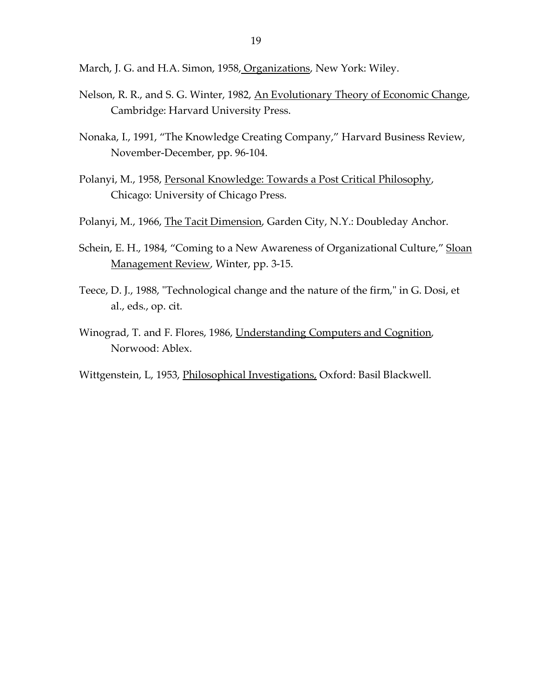- March, J. G. and H.A. Simon, 1958, Organizations, New York: Wiley.
- Nelson, R. R., and S. G. Winter, 1982, An Evolutionary Theory of Economic Change, Cambridge: Harvard University Press.
- Nonaka, I., 1991, "The Knowledge Creating Company," Harvard Business Review, November-December, pp. 96-104.
- Polanyi, M., 1958, Personal Knowledge: Towards a Post Critical Philosophy, Chicago: University of Chicago Press.
- Polanyi, M., 1966, The Tacit Dimension, Garden City, N.Y.: Doubleday Anchor.
- Schein, E. H., 1984, "Coming to a New Awareness of Organizational Culture," Sloan Management Review, Winter, pp. 3-15.
- Teece, D. J., 1988, "Technological change and the nature of the firm," in G. Dosi, et al., eds., op. cit.
- Winograd, T. and F. Flores, 1986, Understanding Computers and Cognition, Norwood: Ablex.
- Wittgenstein, L, 1953, Philosophical Investigations, Oxford: Basil Blackwell.